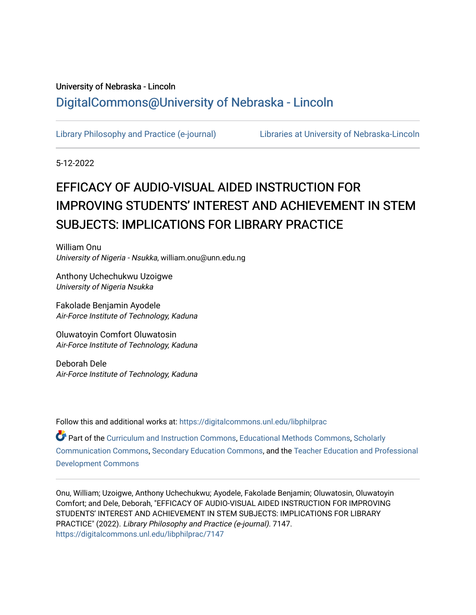# University of Nebraska - Lincoln [DigitalCommons@University of Nebraska - Lincoln](https://digitalcommons.unl.edu/)

[Library Philosophy and Practice \(e-journal\)](https://digitalcommons.unl.edu/libphilprac) [Libraries at University of Nebraska-Lincoln](https://digitalcommons.unl.edu/libraries) 

5-12-2022

# EFFICACY OF AUDIO-VISUAL AIDED INSTRUCTION FOR IMPROVING STUDENTS' INTEREST AND ACHIEVEMENT IN STEM SUBJECTS: IMPLICATIONS FOR LIBRARY PRACTICE

William Onu University of Nigeria - Nsukka, william.onu@unn.edu.ng

Anthony Uchechukwu Uzoigwe University of Nigeria Nsukka

Fakolade Benjamin Ayodele Air-Force Institute of Technology, Kaduna

Oluwatoyin Comfort Oluwatosin Air-Force Institute of Technology, Kaduna

Deborah Dele Air-Force Institute of Technology, Kaduna

Follow this and additional works at: [https://digitalcommons.unl.edu/libphilprac](https://digitalcommons.unl.edu/libphilprac?utm_source=digitalcommons.unl.edu%2Flibphilprac%2F7147&utm_medium=PDF&utm_campaign=PDFCoverPages) 

Part of the [Curriculum and Instruction Commons,](https://network.bepress.com/hgg/discipline/786?utm_source=digitalcommons.unl.edu%2Flibphilprac%2F7147&utm_medium=PDF&utm_campaign=PDFCoverPages) [Educational Methods Commons,](https://network.bepress.com/hgg/discipline/1227?utm_source=digitalcommons.unl.edu%2Flibphilprac%2F7147&utm_medium=PDF&utm_campaign=PDFCoverPages) [Scholarly](https://network.bepress.com/hgg/discipline/1272?utm_source=digitalcommons.unl.edu%2Flibphilprac%2F7147&utm_medium=PDF&utm_campaign=PDFCoverPages)  [Communication Commons](https://network.bepress.com/hgg/discipline/1272?utm_source=digitalcommons.unl.edu%2Flibphilprac%2F7147&utm_medium=PDF&utm_campaign=PDFCoverPages), [Secondary Education Commons](https://network.bepress.com/hgg/discipline/1382?utm_source=digitalcommons.unl.edu%2Flibphilprac%2F7147&utm_medium=PDF&utm_campaign=PDFCoverPages), and the [Teacher Education and Professional](https://network.bepress.com/hgg/discipline/803?utm_source=digitalcommons.unl.edu%2Flibphilprac%2F7147&utm_medium=PDF&utm_campaign=PDFCoverPages)  [Development Commons](https://network.bepress.com/hgg/discipline/803?utm_source=digitalcommons.unl.edu%2Flibphilprac%2F7147&utm_medium=PDF&utm_campaign=PDFCoverPages) 

Onu, William; Uzoigwe, Anthony Uchechukwu; Ayodele, Fakolade Benjamin; Oluwatosin, Oluwatoyin Comfort; and Dele, Deborah, "EFFICACY OF AUDIO-VISUAL AIDED INSTRUCTION FOR IMPROVING STUDENTS' INTEREST AND ACHIEVEMENT IN STEM SUBJECTS: IMPLICATIONS FOR LIBRARY PRACTICE" (2022). Library Philosophy and Practice (e-journal). 7147. [https://digitalcommons.unl.edu/libphilprac/7147](https://digitalcommons.unl.edu/libphilprac/7147?utm_source=digitalcommons.unl.edu%2Flibphilprac%2F7147&utm_medium=PDF&utm_campaign=PDFCoverPages)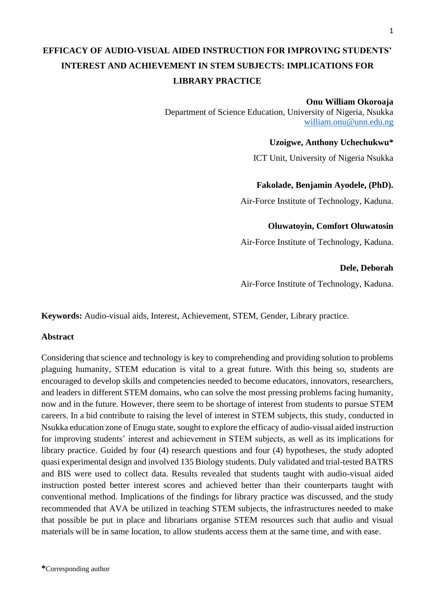# **EFFICACY OF AUDIO-VISUAL AIDED INSTRUCTION FOR IMPROVING STUDENTS' INTEREST AND ACHIEVEMENT IN STEM SUBJECTS: IMPLICATIONS FOR LIBRARY PRACTICE**

# **Onu William Okoroaja**

Department of Science Education, University of Nigeria, Nsukka [william.onu@unn.edu.ng](mailto:william.onu@unn.edu.ng)

# **Uzoigwe, Anthony Uchechukwu\***

ICT Unit, University of Nigeria Nsukka

# **Fakolade, Benjamin Ayodele, (PhD).**

Air-Force Institute of Technology, Kaduna.

# **Oluwatoyin, Comfort Oluwatosin**

Air-Force Institute of Technology, Kaduna.

# **Dele, Deborah**

Air-Force Institute of Technology, Kaduna.

**Keywords:** Audio-visual aids, Interest, Achievement, STEM, Gender, Library practice.

# **Abstract**

Considering that science and technology is key to comprehending and providing solution to problems plaguing humanity, STEM education is vital to a great future. With this being so, students are encouraged to develop skills and competencies needed to become educators, innovators, researchers, and leaders in different STEM domains, who can solve the most pressing problems facing humanity, now and in the future. However, there seem to be shortage of interest from students to pursue STEM careers. In a bid contribute to raising the level of interest in STEM subjects, this study, conducted in Nsukka education zone of Enugu state, sought to explore the efficacy of audio-visual aided instruction for improving students' interest and achievement in STEM subjects, as well as its implications for library practice. Guided by four (4) research questions and four (4) hypotheses, the study adopted quasi experimental design and involved 135 Biology students. Duly validated and trial-tested BATRS and BIS were used to collect data. Results revealed that students taught with audio-visual aided instruction posted better interest scores and achieved better than their counterparts taught with conventional method. Implications of the findings for library practice was discussed, and the study recommended that AVA be utilized in teaching STEM subjects, the infrastructures needed to make that possible be put in place and librarians organise STEM resources such that audio and visual materials will be in same location, to allow students access them at the same time, and with ease.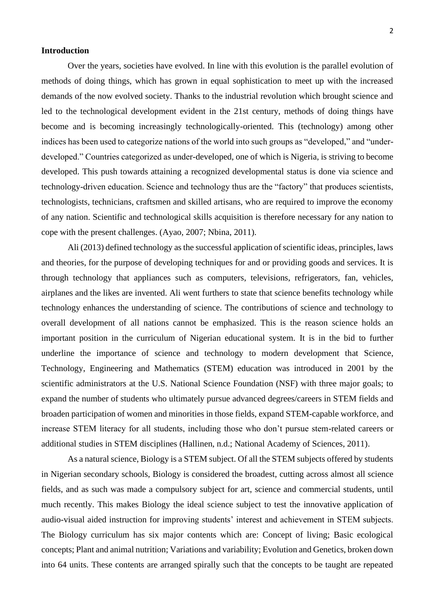#### **Introduction**

Over the years, societies have evolved. In line with this evolution is the parallel evolution of methods of doing things, which has grown in equal sophistication to meet up with the increased demands of the now evolved society. Thanks to the industrial revolution which brought science and led to the technological development evident in the 21st century, methods of doing things have become and is becoming increasingly technologically-oriented. This (technology) among other indices has been used to categorize nations of the world into such groups as "developed," and "underdeveloped." Countries categorized as under-developed, one of which is Nigeria, is striving to become developed. This push towards attaining a recognized developmental status is done via science and technology-driven education. Science and technology thus are the "factory" that produces scientists, technologists, technicians, craftsmen and skilled artisans, who are required to improve the economy of any nation. Scientific and technological skills acquisition is therefore necessary for any nation to cope with the present challenges. (Ayao, 2007; Nbina, 2011).

Ali (2013) defined technology as the successful application of scientific ideas, principles, laws and theories, for the purpose of developing techniques for and or providing goods and services. It is through technology that appliances such as computers, televisions, refrigerators, fan, vehicles, airplanes and the likes are invented. Ali went furthers to state that science benefits technology while technology enhances the understanding of science. The contributions of science and technology to overall development of all nations cannot be emphasized. This is the reason science holds an important position in the curriculum of Nigerian educational system. It is in the bid to further underline the importance of science and technology to modern development that Science, Technology, Engineering and Mathematics (STEM) education was introduced in 2001 by the scientific administrators at the U.S. National Science Foundation (NSF) with three major goals; to expand the number of students who ultimately pursue advanced degrees/careers in STEM fields and broaden participation of women and minorities in those fields, expand STEM-capable workforce, and increase STEM literacy for all students, including those who don't pursue stem-related careers or additional studies in STEM disciplines (Hallinen, n.d.; National Academy of Sciences, 2011).

As a natural science, Biology is a STEM subject. Of all the STEM subjects offered by students in Nigerian secondary schools, Biology is considered the broadest, cutting across almost all science fields, and as such was made a compulsory subject for art, science and commercial students, until much recently. This makes Biology the ideal science subject to test the innovative application of audio-visual aided instruction for improving students' interest and achievement in STEM subjects. The Biology curriculum has six major contents which are: Concept of living; Basic ecological concepts; Plant and animal nutrition; Variations and variability; Evolution and Genetics, broken down into 64 units. These contents are arranged spirally such that the concepts to be taught are repeated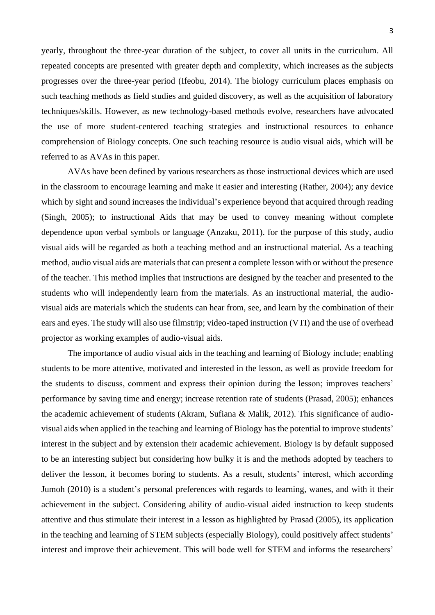yearly, throughout the three-year duration of the subject, to cover all units in the curriculum. All repeated concepts are presented with greater depth and complexity, which increases as the subjects progresses over the three-year period (Ifeobu, 2014). The biology curriculum places emphasis on such teaching methods as field studies and guided discovery, as well as the acquisition of laboratory techniques/skills. However, as new technology-based methods evolve, researchers have advocated the use of more student-centered teaching strategies and instructional resources to enhance comprehension of Biology concepts. One such teaching resource is audio visual aids, which will be referred to as AVAs in this paper.

AVAs have been defined by various researchers as those instructional devices which are used in the classroom to encourage learning and make it easier and interesting (Rather, 2004); any device which by sight and sound increases the individual's experience beyond that acquired through reading (Singh, 2005); to instructional Aids that may be used to convey meaning without complete dependence upon verbal symbols or language (Anzaku, 2011). for the purpose of this study, audio visual aids will be regarded as both a teaching method and an instructional material. As a teaching method, audio visual aids are materials that can present a complete lesson with or without the presence of the teacher. This method implies that instructions are designed by the teacher and presented to the students who will independently learn from the materials. As an instructional material, the audiovisual aids are materials which the students can hear from, see, and learn by the combination of their ears and eyes. The study will also use filmstrip; video-taped instruction (VTI) and the use of overhead projector as working examples of audio-visual aids.

The importance of audio visual aids in the teaching and learning of Biology include; enabling students to be more attentive, motivated and interested in the lesson, as well as provide freedom for the students to discuss, comment and express their opinion during the lesson; improves teachers' performance by saving time and energy; increase retention rate of students (Prasad, 2005); enhances the academic achievement of students (Akram, Sufiana & Malik, 2012). This significance of audiovisual aids when applied in the teaching and learning of Biology has the potential to improve students' interest in the subject and by extension their academic achievement. Biology is by default supposed to be an interesting subject but considering how bulky it is and the methods adopted by teachers to deliver the lesson, it becomes boring to students. As a result, students' interest, which according Jumoh (2010) is a student's personal preferences with regards to learning, wanes, and with it their achievement in the subject. Considering ability of audio-visual aided instruction to keep students attentive and thus stimulate their interest in a lesson as highlighted by Prasad (2005), its application in the teaching and learning of STEM subjects (especially Biology), could positively affect students' interest and improve their achievement. This will bode well for STEM and informs the researchers'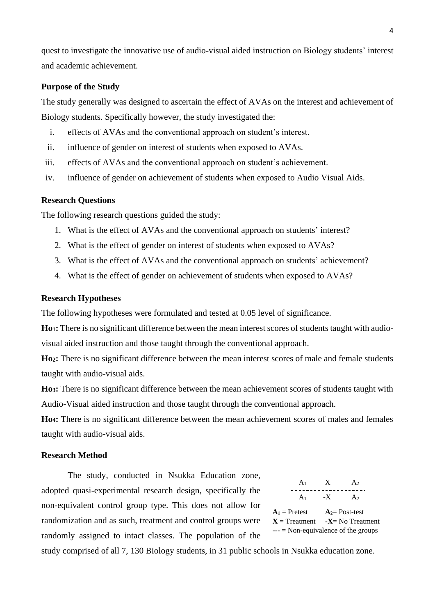quest to investigate the innovative use of audio-visual aided instruction on Biology students' interest and academic achievement.

# **Purpose of the Study**

The study generally was designed to ascertain the effect of AVAs on the interest and achievement of Biology students. Specifically however, the study investigated the:

- i. effects of AVAs and the conventional approach on student's interest.
- ii. influence of gender on interest of students when exposed to AVAs.
- iii. effects of AVAs and the conventional approach on student's achievement.
- iv. influence of gender on achievement of students when exposed to Audio Visual Aids.

#### **Research Questions**

The following research questions guided the study:

- 1. What is the effect of AVAs and the conventional approach on students' interest?
- 2. What is the effect of gender on interest of students when exposed to AVAs?
- 3. What is the effect of AVAs and the conventional approach on students' achievement?
- 4. What is the effect of gender on achievement of students when exposed to AVAs?

#### **Research Hypotheses**

The following hypotheses were formulated and tested at 0.05 level of significance.

**Ho1:** There is no significant difference between the mean interest scores of students taught with audiovisual aided instruction and those taught through the conventional approach.

**Ho2:** There is no significant difference between the mean interest scores of male and female students taught with audio-visual aids.

**Ho3:** There is no significant difference between the mean achievement scores of students taught with Audio-Visual aided instruction and those taught through the conventional approach.

**Ho4:** There is no significant difference between the mean achievement scores of males and females taught with audio-visual aids.

# **Research Method**

The study, conducted in Nsukka Education zone, adopted quasi-experimental research design, specifically the non-equivalent control group type. This does not allow for randomization and as such, treatment and control groups were randomly assigned to intact classes. The population of the

 $A_1$   $X$   $A_2$  $A_1$  -X  $A_2$  $A_1$  = Pretest  $A_2$  = Post-test  $X = Treatment$   $-X = No Treatment$  $---$  = Non-equivalence of the groups

study comprised of all 7, 130 Biology students, in 31 public schools in Nsukka education zone.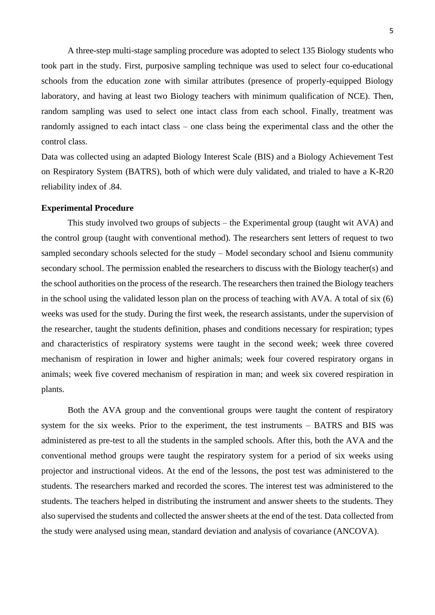A three-step multi-stage sampling procedure was adopted to select 135 Biology students who took part in the study. First, purposive sampling technique was used to select four co-educational schools from the education zone with similar attributes (presence of properly-equipped Biology laboratory, and having at least two Biology teachers with minimum qualification of NCE). Then, random sampling was used to select one intact class from each school. Finally, treatment was randomly assigned to each intact class – one class being the experimental class and the other the control class.

Data was collected using an adapted Biology Interest Scale (BIS) and a Biology Achievement Test on Respiratory System (BATRS), both of which were duly validated, and trialed to have a K-R20 reliability index of .84.

#### **Experimental Procedure**

This study involved two groups of subjects – the Experimental group (taught wit AVA) and the control group (taught with conventional method). The researchers sent letters of request to two sampled secondary schools selected for the study – Model secondary school and Isienu community secondary school. The permission enabled the researchers to discuss with the Biology teacher(s) and the school authorities on the process of the research. The researchers then trained the Biology teachers in the school using the validated lesson plan on the process of teaching with AVA. A total of six (6) weeks was used for the study. During the first week, the research assistants, under the supervision of the researcher, taught the students definition, phases and conditions necessary for respiration; types and characteristics of respiratory systems were taught in the second week; week three covered mechanism of respiration in lower and higher animals; week four covered respiratory organs in animals; week five covered mechanism of respiration in man; and week six covered respiration in plants.

Both the AVA group and the conventional groups were taught the content of respiratory system for the six weeks. Prior to the experiment, the test instruments – BATRS and BIS was administered as pre-test to all the students in the sampled schools. After this, both the AVA and the conventional method groups were taught the respiratory system for a period of six weeks using projector and instructional videos. At the end of the lessons, the post test was administered to the students. The researchers marked and recorded the scores. The interest test was administered to the students. The teachers helped in distributing the instrument and answer sheets to the students. They also supervised the students and collected the answer sheets at the end of the test. Data collected from the study were analysed using mean, standard deviation and analysis of covariance (ANCOVA).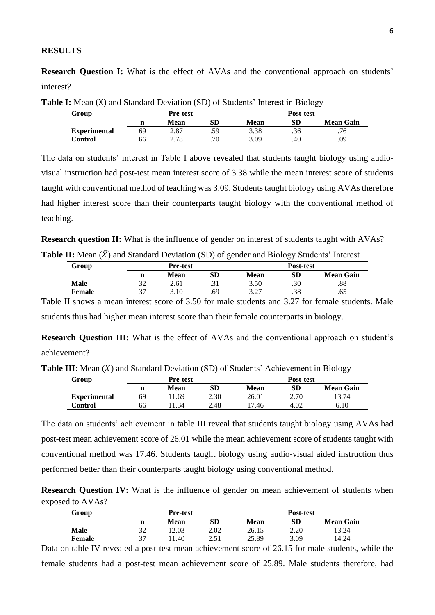#### **RESULTS**

**Research Question I:** What is the effect of AVAs and the conventional approach on students' interest?

|                     |                 |      |     | ----             |     |                  |  |
|---------------------|-----------------|------|-----|------------------|-----|------------------|--|
| Group               | <b>Pre-test</b> |      |     | <b>Post-test</b> |     |                  |  |
|                     |                 | Mean | SD  | <b>Mean</b>      | SD  | <b>Mean Gain</b> |  |
| <b>Experimental</b> | 69              | 2.87 | .59 | 3.38             | .36 | .76              |  |
| Control             | 66              | 2.78 | .70 | 3.09             | .40 | .09              |  |

**Table I:** Mean  $(\overline{X})$  and Standard Deviation (SD) of Students' Interest in Biology

The data on students' interest in Table I above revealed that students taught biology using audiovisual instruction had post-test mean interest score of 3.38 while the mean interest score of students taught with conventional method of teaching was 3.09. Students taught biology using AVAs therefore had higher interest score than their counterparts taught biology with the conventional method of teaching.

**Research question II:** What is the influence of gender on interest of students taught with AVAs?

| Group  | <b>Pre-test</b> |      | <b>Post-test</b> |                  |     |                  |
|--------|-----------------|------|------------------|------------------|-----|------------------|
|        |                 | Mean | <b>SD</b>        | Mean             | SD  | <b>Mean Gain</b> |
| Male   | າາ              | 2.61 | ، د ب            | 3.50             | .30 | .88              |
| Female | ີ               | 3.10 | .69              | 3.27<br><u>.</u> | .38 | .65              |

Table II shows a mean interest score of 3.50 for male students and 3.27 for female students. Male students thus had higher mean interest score than their female counterparts in biology.

**Research Question III:** What is the effect of AVAs and the conventional approach on student's achievement?

**Table III**: Mean  $(\bar{X})$  and Standard Deviation (SD) of Students' Achievement in Biology

|                     |                 |      |      |                  |      | --               |
|---------------------|-----------------|------|------|------------------|------|------------------|
| Group               | <b>Pre-test</b> |      |      | <b>Post-test</b> |      |                  |
|                     | n               | Mean | SD   | <b>Mean</b>      | SD   | <b>Mean Gain</b> |
| <b>Experimental</b> | 69              | 1.69 | 2.30 | 26.01            | 2.70 | 13.74            |
| Control             | 66              | 34   | 2.48 | 17.46            | 4.02 | 6.10             |

The data on students' achievement in table III reveal that students taught biology using AVAs had post-test mean achievement score of 26.01 while the mean achievement score of students taught with conventional method was 17.46. Students taught biology using audio-visual aided instruction thus performed better than their counterparts taught biology using conventional method.

**Research Question IV:** What is the influence of gender on mean achievement of students when exposed to AVAs?

| Group  | <b>Pre-test</b> |       |      | <b>Post-test</b> |            |                  |
|--------|-----------------|-------|------|------------------|------------|------------------|
|        | n               | Mean  | SD   | <b>Mean</b>      | ${\bf SD}$ | <b>Mean Gain</b> |
| Male   | 32              | 12.03 | 2.02 | 26.15            | 2.20       | 13.24            |
| Female | 37              | 1.40  | 2.51 | 25.89            | 3.09       | 14.24            |

Data on table IV revealed a post-test mean achievement score of 26.15 for male students, while the female students had a post-test mean achievement score of 25.89. Male students therefore, had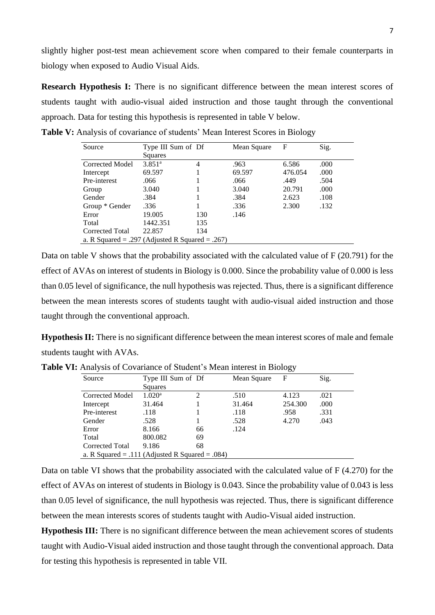slightly higher post-test mean achievement score when compared to their female counterparts in biology when exposed to Audio Visual Aids.

**Research Hypothesis I:** There is no significant difference between the mean interest scores of students taught with audio-visual aided instruction and those taught through the conventional approach. Data for testing this hypothesis is represented in table V below.

| Source                                          | Type III Sum of Df |     | Mean Square | F       | Sig. |
|-------------------------------------------------|--------------------|-----|-------------|---------|------|
|                                                 | Squares            |     |             |         |      |
| Corrected Model                                 | 3.851 <sup>a</sup> | 4   | .963        | 6.586   | .000 |
| Intercept                                       | 69.597             |     | 69.597      | 476.054 | .000 |
| Pre-interest                                    | .066               |     | .066        | .449    | .504 |
| Group                                           | 3.040              |     | 3.040       | 20.791  | .000 |
| Gender                                          | .384               |     | .384        | 2.623   | .108 |
| Group * Gender                                  | .336               |     | .336        | 2.300   | .132 |
| Error                                           | 19.005             | 130 | .146        |         |      |
| Total                                           | 1442.351           | 135 |             |         |      |
| Corrected Total                                 | 22.857             | 134 |             |         |      |
| a. R Squared = .297 (Adjusted R Squared = .267) |                    |     |             |         |      |

Table V: Analysis of covariance of students' Mean Interest Scores in Biology

Data on table V shows that the probability associated with the calculated value of F (20.791) for the effect of AVAs on interest of students in Biology is 0.000. Since the probability value of 0.000 is less than 0.05 level of significance, the null hypothesis was rejected. Thus, there is a significant difference between the mean interests scores of students taught with audio-visual aided instruction and those taught through the conventional approach.

**Hypothesis II:** There is no significant difference between the mean interest scores of male and female students taught with AVAs.

|                                                 |                    |    |             | ັ       |      |
|-------------------------------------------------|--------------------|----|-------------|---------|------|
| Source                                          | Type III Sum of Df |    | Mean Square | F       | Sig. |
|                                                 | Squares            |    |             |         |      |
| Corrected Model                                 | 1.020 <sup>a</sup> | 2  | .510        | 4.123   | .021 |
| Intercept                                       | 31.464             |    | 31.464      | 254.300 | .000 |
| Pre-interest                                    | .118               |    | .118        | .958    | .331 |
| Gender                                          | .528               |    | .528        | 4.270   | .043 |
| Error                                           | 8.166              | 66 | .124        |         |      |
| Total                                           | 800.082            | 69 |             |         |      |
| Corrected Total                                 | 9.186              | 68 |             |         |      |
| a. R Squared = .111 (Adjusted R Squared = .084) |                    |    |             |         |      |
|                                                 |                    |    |             |         |      |

Table VI: Analysis of Covariance of Student's Mean interest in Biology

Data on table VI shows that the probability associated with the calculated value of F (4.270) for the effect of AVAs on interest of students in Biology is 0.043. Since the probability value of 0.043 is less than 0.05 level of significance, the null hypothesis was rejected. Thus, there is significant difference between the mean interests scores of students taught with Audio-Visual aided instruction.

**Hypothesis III:** There is no significant difference between the mean achievement scores of students taught with Audio-Visual aided instruction and those taught through the conventional approach. Data for testing this hypothesis is represented in table VII.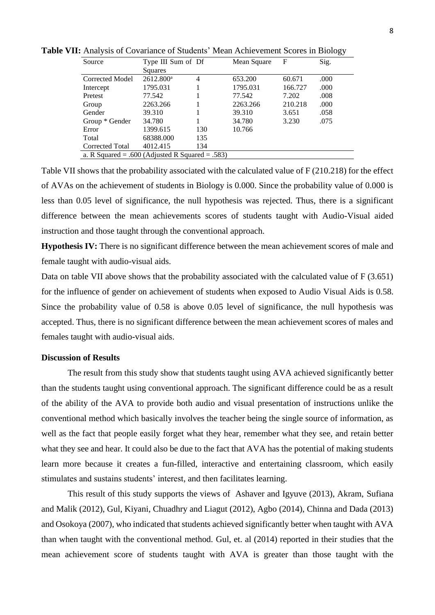| Source          | Type III Sum of Df |                | Mean Square                                     | F       | Sig. |  |  |  |  |
|-----------------|--------------------|----------------|-------------------------------------------------|---------|------|--|--|--|--|
|                 | Squares            |                |                                                 |         |      |  |  |  |  |
| Corrected Model | $2612.800^a$       | $\overline{4}$ | 653.200                                         | 60.671  | .000 |  |  |  |  |
| Intercept       | 1795.031           |                | 1795.031                                        | 166.727 | .000 |  |  |  |  |
| Pretest         | 77.542             |                | 77.542                                          | 7.202   | .008 |  |  |  |  |
| Group           | 2263.266           |                | 2263.266                                        | 210.218 | .000 |  |  |  |  |
| Gender          | 39.310             |                | 39.310                                          | 3.651   | .058 |  |  |  |  |
| Group * Gender  | 34.780             |                | 34.780                                          | 3.230   | .075 |  |  |  |  |
| Error           | 1399.615           | 130            | 10.766                                          |         |      |  |  |  |  |
| Total           | 68388.000          | 135            |                                                 |         |      |  |  |  |  |
| Corrected Total | 4012.415           | 134            |                                                 |         |      |  |  |  |  |
|                 |                    |                | a. R Squared = .600 (Adjusted R Squared = .583) |         |      |  |  |  |  |

**Table VII:** Analysis of Covariance of Students' Mean Achievement Scores in Biology

Table VII shows that the probability associated with the calculated value of F (210.218) for the effect of AVAs on the achievement of students in Biology is 0.000. Since the probability value of 0.000 is less than 0.05 level of significance, the null hypothesis was rejected. Thus, there is a significant difference between the mean achievements scores of students taught with Audio-Visual aided instruction and those taught through the conventional approach.

**Hypothesis IV:** There is no significant difference between the mean achievement scores of male and female taught with audio-visual aids.

Data on table VII above shows that the probability associated with the calculated value of F (3.651) for the influence of gender on achievement of students when exposed to Audio Visual Aids is 0.58. Since the probability value of 0.58 is above 0.05 level of significance, the null hypothesis was accepted. Thus, there is no significant difference between the mean achievement scores of males and females taught with audio-visual aids.

# **Discussion of Results**

The result from this study show that students taught using AVA achieved significantly better than the students taught using conventional approach. The significant difference could be as a result of the ability of the AVA to provide both audio and visual presentation of instructions unlike the conventional method which basically involves the teacher being the single source of information, as well as the fact that people easily forget what they hear, remember what they see, and retain better what they see and hear. It could also be due to the fact that AVA has the potential of making students learn more because it creates a fun-filled, interactive and entertaining classroom, which easily stimulates and sustains students' interest, and then facilitates learning.

This result of this study supports the views of Ashaver and Igyuve (2013), Akram, Sufiana and Malik (2012), Gul, Kiyani, Chuadhry and Liagut (2012), Agbo (2014), Chinna and Dada (2013) and Osokoya (2007), who indicated that students achieved significantly better when taught with AVA than when taught with the conventional method. Gul, et. al (2014) reported in their studies that the mean achievement score of students taught with AVA is greater than those taught with the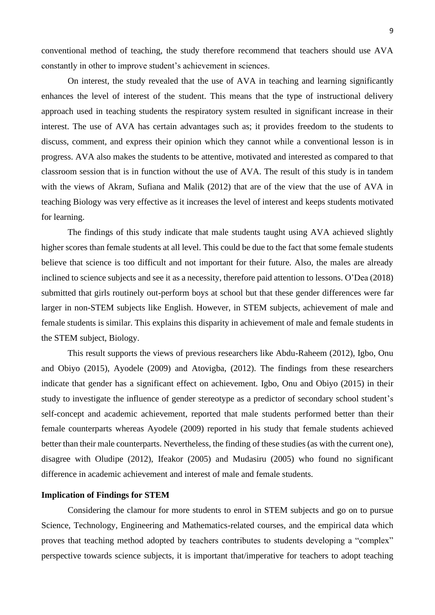9

conventional method of teaching, the study therefore recommend that teachers should use AVA constantly in other to improve student's achievement in sciences.

On interest, the study revealed that the use of AVA in teaching and learning significantly enhances the level of interest of the student. This means that the type of instructional delivery approach used in teaching students the respiratory system resulted in significant increase in their interest. The use of AVA has certain advantages such as; it provides freedom to the students to discuss, comment, and express their opinion which they cannot while a conventional lesson is in progress. AVA also makes the students to be attentive, motivated and interested as compared to that classroom session that is in function without the use of AVA. The result of this study is in tandem with the views of Akram, Sufiana and Malik (2012) that are of the view that the use of AVA in teaching Biology was very effective as it increases the level of interest and keeps students motivated for learning.

The findings of this study indicate that male students taught using AVA achieved slightly higher scores than female students at all level. This could be due to the fact that some female students believe that science is too difficult and not important for their future. Also, the males are already inclined to science subjects and see it as a necessity, therefore paid attention to lessons. O'Dea (2018) submitted that girls routinely out-perform boys at school but that these gender differences were far larger in non-STEM subjects like English. However, in STEM subjects, achievement of male and female students is similar. This explains this disparity in achievement of male and female students in the STEM subject, Biology.

This result supports the views of previous researchers like Abdu-Raheem (2012), Igbo, Onu and Obiyo (2015), Ayodele (2009) and Atovigba, (2012). The findings from these researchers indicate that gender has a significant effect on achievement. Igbo, Onu and Obiyo (2015) in their study to investigate the influence of gender stereotype as a predictor of secondary school student's self-concept and academic achievement, reported that male students performed better than their female counterparts whereas Ayodele (2009) reported in his study that female students achieved better than their male counterparts. Nevertheless, the finding of these studies (as with the current one), disagree with Oludipe (2012), Ifeakor (2005) and Mudasiru (2005) who found no significant difference in academic achievement and interest of male and female students.

#### **Implication of Findings for STEM**

Considering the clamour for more students to enrol in STEM subjects and go on to pursue Science, Technology, Engineering and Mathematics-related courses, and the empirical data which proves that teaching method adopted by teachers contributes to students developing a "complex" perspective towards science subjects, it is important that/imperative for teachers to adopt teaching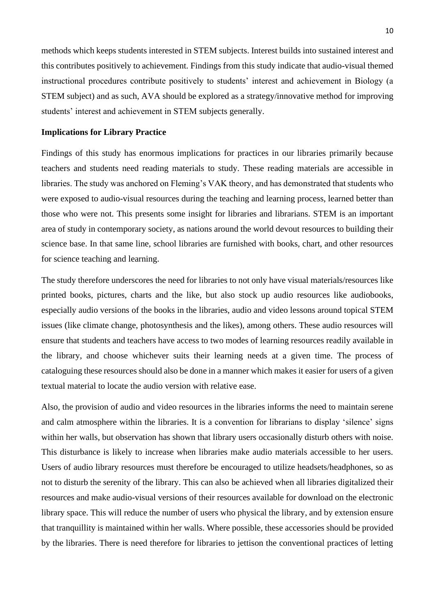methods which keeps students interested in STEM subjects. Interest builds into sustained interest and this contributes positively to achievement. Findings from this study indicate that audio-visual themed instructional procedures contribute positively to students' interest and achievement in Biology (a STEM subject) and as such, AVA should be explored as a strategy/innovative method for improving students' interest and achievement in STEM subjects generally.

## **Implications for Library Practice**

Findings of this study has enormous implications for practices in our libraries primarily because teachers and students need reading materials to study. These reading materials are accessible in libraries. The study was anchored on Fleming's VAK theory, and has demonstrated that students who were exposed to audio-visual resources during the teaching and learning process, learned better than those who were not. This presents some insight for libraries and librarians. STEM is an important area of study in contemporary society, as nations around the world devout resources to building their science base. In that same line, school libraries are furnished with books, chart, and other resources for science teaching and learning.

The study therefore underscores the need for libraries to not only have visual materials/resources like printed books, pictures, charts and the like, but also stock up audio resources like audiobooks, especially audio versions of the books in the libraries, audio and video lessons around topical STEM issues (like climate change, photosynthesis and the likes), among others. These audio resources will ensure that students and teachers have access to two modes of learning resources readily available in the library, and choose whichever suits their learning needs at a given time. The process of cataloguing these resources should also be done in a manner which makes it easier for users of a given textual material to locate the audio version with relative ease.

Also, the provision of audio and video resources in the libraries informs the need to maintain serene and calm atmosphere within the libraries. It is a convention for librarians to display 'silence' signs within her walls, but observation has shown that library users occasionally disturb others with noise. This disturbance is likely to increase when libraries make audio materials accessible to her users. Users of audio library resources must therefore be encouraged to utilize headsets/headphones, so as not to disturb the serenity of the library. This can also be achieved when all libraries digitalized their resources and make audio-visual versions of their resources available for download on the electronic library space. This will reduce the number of users who physical the library, and by extension ensure that tranquillity is maintained within her walls. Where possible, these accessories should be provided by the libraries. There is need therefore for libraries to jettison the conventional practices of letting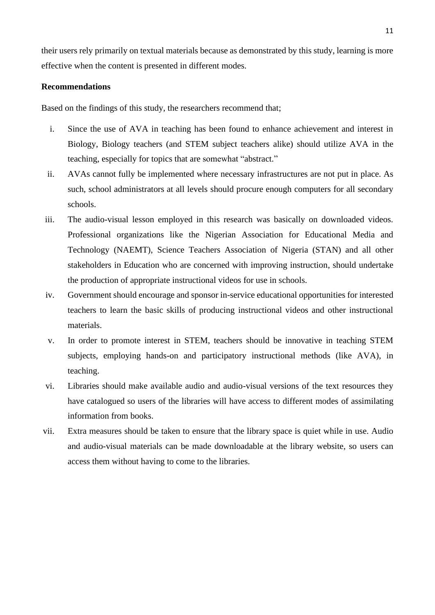their users rely primarily on textual materials because as demonstrated by this study, learning is more effective when the content is presented in different modes.

# **Recommendations**

Based on the findings of this study, the researchers recommend that;

- i. Since the use of AVA in teaching has been found to enhance achievement and interest in Biology, Biology teachers (and STEM subject teachers alike) should utilize AVA in the teaching, especially for topics that are somewhat "abstract."
- ii. AVAs cannot fully be implemented where necessary infrastructures are not put in place. As such, school administrators at all levels should procure enough computers for all secondary schools.
- iii. The audio-visual lesson employed in this research was basically on downloaded videos. Professional organizations like the Nigerian Association for Educational Media and Technology (NAEMT), Science Teachers Association of Nigeria (STAN) and all other stakeholders in Education who are concerned with improving instruction, should undertake the production of appropriate instructional videos for use in schools.
- iv. Government should encourage and sponsor in-service educational opportunities for interested teachers to learn the basic skills of producing instructional videos and other instructional materials.
- v. In order to promote interest in STEM, teachers should be innovative in teaching STEM subjects, employing hands-on and participatory instructional methods (like AVA), in teaching.
- vi. Libraries should make available audio and audio-visual versions of the text resources they have catalogued so users of the libraries will have access to different modes of assimilating information from books.
- vii. Extra measures should be taken to ensure that the library space is quiet while in use. Audio and audio-visual materials can be made downloadable at the library website, so users can access them without having to come to the libraries.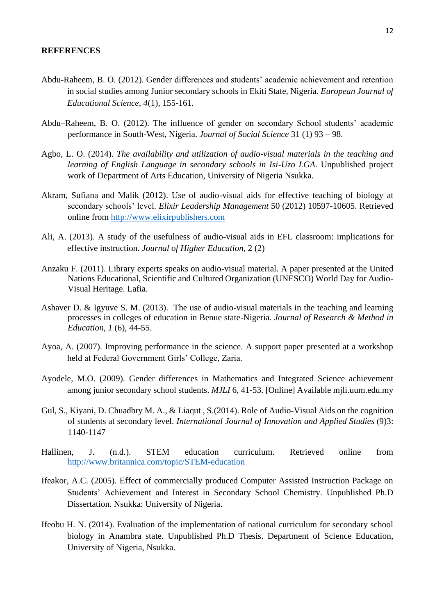#### **REFERENCES**

- Abdu-Raheem, B. O. (2012). Gender differences and students' academic achievement and retention in social studies among Junior secondary schools in Ekiti State, Nigeria. *European Journal of Educational Science, 4*(1), 155-161.
- Abdu–Raheem, B. O. (2012). The influence of gender on secondary School students' academic performance in South-West, Nigeria. *Journal of Social Science* 31 (1) 93 – 98.
- Agbo, L. O. (2014). *The availability and utilization of audio-visual materials in the teaching and learning of English Language in secondary schools in Isi-Uzo LGA*. Unpublished project work of Department of Arts Education, University of Nigeria Nsukka.
- Akram, Sufiana and Malik (2012). Use of audio-visual aids for effective teaching of biology at secondary schools' level. *Elixir Leadership Management* 50 (2012) 10597-10605. Retrieved online from [http://www.elixirpublishers.com](http://www.elixirpublishers.com/)
- Ali, A. (2013). A study of the usefulness of audio-visual aids in EFL classroom: implications for effective instruction. *Journal of Higher Education,* 2 (2)
- Anzaku F. (2011). Library experts speaks on audio-visual material. A paper presented at the United Nations Educational, Scientific and Cultured Organization (UNESCO) World Day for Audio-Visual Heritage. Lafia.
- Ashaver D. & Igyuve S. M. (2013). The use of audio-visual materials in the teaching and learning processes in colleges of education in Benue state-Nigeria. *Journal of Research & Method in Education, 1* (6), 44-55.
- Ayoa, A. (2007). Improving performance in the science. A support paper presented at a workshop held at Federal Government Girls' College, Zaria.
- Ayodele, M.O. (2009). Gender differences in Mathematics and Integrated Science achievement among junior secondary school students. *MJLI* 6, 41-53. [Online] Available mjli.uum.edu.my
- Gul, S., Kiyani, D. Chuadhry M. A., & Liaqut , S.(2014). Role of Audio-Visual Aids on the cognition of students at secondary level. *International Journal of Innovation and Applied Studies* (9)3: 1140-1147
- Hallinen, J. (n.d.). STEM education curriculum. Retrieved online from <http://www.britannica.com/topic/STEM-education>
- Ifeakor, A.C. (2005). Effect of commercially produced Computer Assisted Instruction Package on Students' Achievement and Interest in Secondary School Chemistry. Unpublished Ph.D Dissertation. Nsukka: University of Nigeria.
- Ifeobu H. N. (2014). Evaluation of the implementation of national curriculum for secondary school biology in Anambra state. Unpublished Ph.D Thesis. Department of Science Education, University of Nigeria, Nsukka.